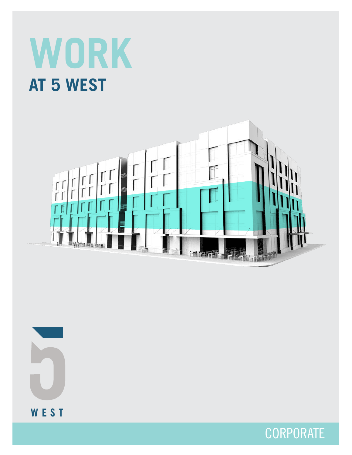# **WORK AT 5 WEST**





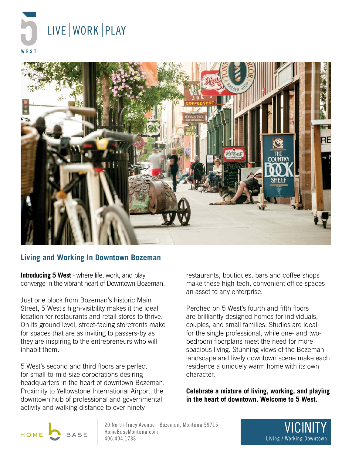



#### **Living and Working In Downtown Bozeman**

**Introducing 5 West** - where life, work, and play converge in the vibrant heart of Downtown Bozeman.

Just one block from Bozeman's historic Main Street, 5 West's high-visibility makes it the ideal location for restaurants and retail stores to thrive. On its ground level, street-facing storefronts make for spaces that are as inviting to passers-by as they are inspiring to the entrepreneurs who will inhabit them.

5 West's second and third floors are perfect for small-to-mid-size corporations desiring headquarters in the heart of downtown Bozeman. Proximity to Yellowstone International Airport, the downtown hub of professional and governmental activity and walking distance to over ninety

restaurants, boutiques, bars and coffee shops make these high-tech, convenient office spaces an asset to any enterprise.

Perched on 5 West's fourth and fifth floors are brilliantly-designed homes for individuals, couples, and small families. Studios are ideal for the single professional, while one- and twobedroom floorplans meet the need for more spacious living. Stunning views of the Bozeman landscape and lively downtown scene make each residence a uniquely warm home with its own character.

**Celebrate a mixture of living, working, and playing in the heart of downtown. Welcome to 5 West.** 



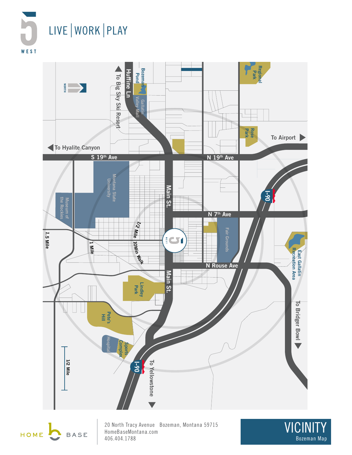





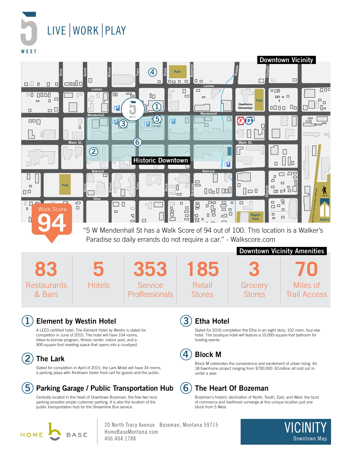LIVE | WORK | PLAY **WEST** 



"5 W Mendenhall St has a Walk Score of 94 out of 100. This location is a Walker's Paradise so daily errands do not require a car." - Walkscore.com

|                              |               |                                  |                         | <b>Downtown Vicinity Amenities</b> |                                 |
|------------------------------|---------------|----------------------------------|-------------------------|------------------------------------|---------------------------------|
| 85                           |               | 353                              | 185                     |                                    | 70                              |
| <b>Restaurants</b><br>& Bars | <b>Hotels</b> | Service<br><b>Proffessionals</b> | Retail<br><b>Stores</b> | Grocery<br><b>Stores</b>           | Miles of<br><b>Trail Access</b> |

#### **1 Element by Westin Hotel**

A LEED certified hotel, The Element Hotel by Westin is slated for completion in June of 2015. The hotel will have 104 rooms, bikes-to-borrow program, fitness center, indoor pool, and a 900-square-foot meeting space that opens into a courtyard.

### **2 The Lark**

Slated for completion in April of 2015, the Lark Motel will have 34 rooms, a parking plaza with Airstream trailer food cart for guests and the public.

#### **5 Parking Garage / Public Transportation Hub**

Centrally located in the heart of Downtown Bozeman, the free two hour parking provides ample customer parking. It is also the location of the public transportation hub for the Streamline Bus service.



20 North Tracy Avenue Bozeman, Montana 59715 HomeBaseMontana.com 406.404.1788

#### **3 Etha Hotel**

Slated for 2016 completion the Etha in an eight story, 102 room, four-star hotel. The boutique hotel will feature a 10,000-square-foot ballroom for hosting events.

#### **4 Block M**

Block M celebrates the convenience and excitement of urban living. An 18 townhome project ranging from \$700,000 -\$1million all sold out in under a year.

### **6 The Heart Of Bozeman**

Bozeman's historic declination of North, South, East, and West: the buzz of commerce and livelihood converge at this unique location just one block from 5 West.

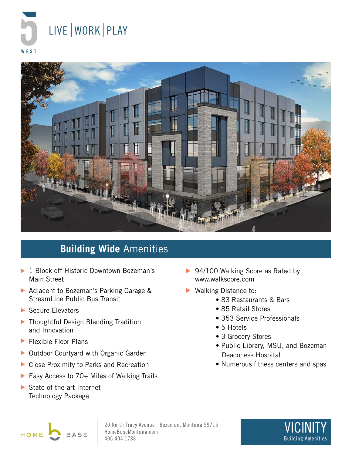



# **Building Wide** Amenities

- ▶ 1 Block off Historic Downtown Bozeman's Main Street
- Adjacent to Bozeman's Parking Garage & StreamLine Public Bus Transit
- Secure Elevators
- ▶ Thoughtful Design Blending Tradition and Innovation
- Flexible Floor Plans ▶
- ▶ Outdoor Courtyard with Organic Garden
- ▶ Close Proximity to Parks and Recreation
- Easy Access to 70+ Miles of Walking Trails  $\blacktriangleright$
- State-of-the-art Internet Technology Package
- ▶ 94/100 Walking Score as Rated by www.walkscore.com
- ▶ Walking Distance to:
	- 83 Restaurants & Bars
	- 85 Retail Stores
	- 353 Service Professionals
	- 5 Hotels
	- 3 Grocery Stores
	- Public Library, MSU, and Bozeman Deaconess Hospital
	- Numerous fitness centers and spas



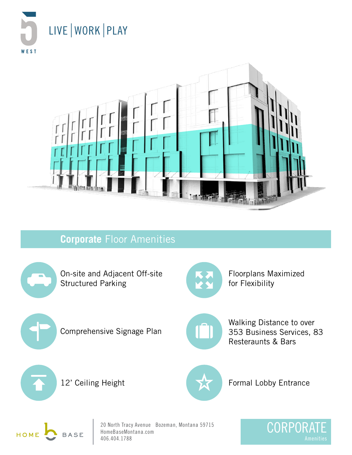



### **Corporate** Floor Amenities



On-site and Adjacent Off-site Structured Parking



Floorplans Maximized for Flexibility



Comprehensive Signage Plan



Walking Distance to over 353 Business Services, 83 Resteraunts & Bars



12' Ceiling Height



Formal Lobby Entrance



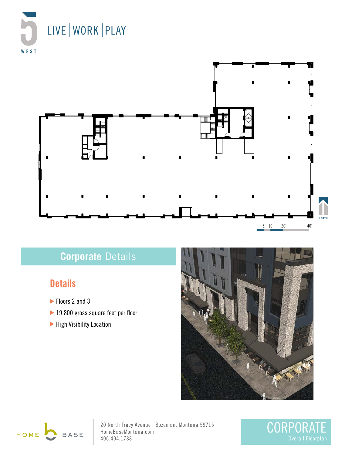



# **Corporate** Details

## **Details**

- Floors 2 and 3
- ▶ 19,800 gross square feet per floor
- High Visibility Location